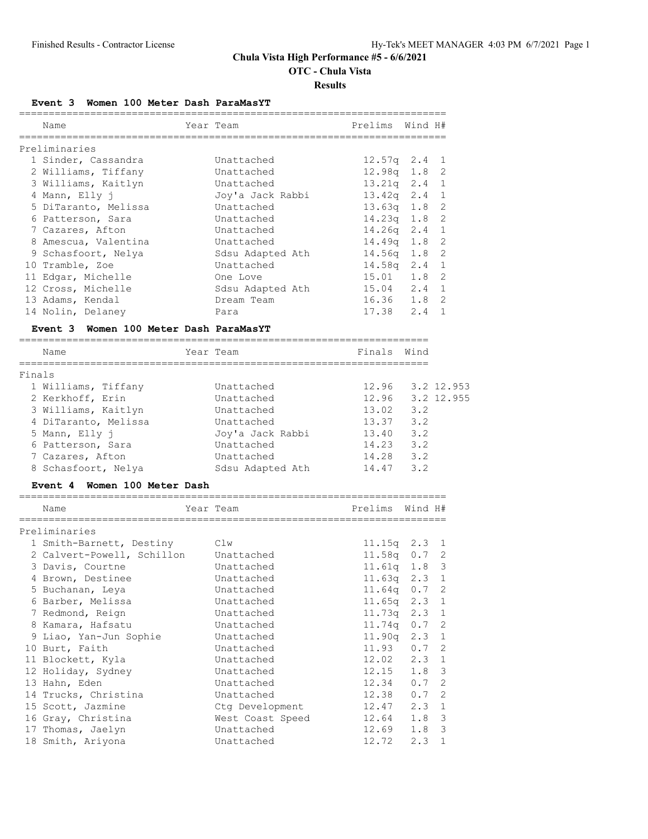**OTC - Chula Vista**

#### **Results**

**Event 3 Women 100 Meter Dash ParaMasYT**

|        | Name                                             | Year Team                           | Prelims                    | Wind H# |              |
|--------|--------------------------------------------------|-------------------------------------|----------------------------|---------|--------------|
|        | Preliminaries                                    |                                     |                            |         |              |
|        | 1 Sinder, Cassandra                              | Unattached                          | $12.57q$ 2.4               |         | 1            |
|        | 2 Williams, Tiffany                              | Unattached                          | $12.98q$ 1.8               |         | 2            |
|        | 3 Williams, Kaitlyn                              | Unattached                          | $13.21q$ $2.4$             |         | 1            |
|        | 4 Mann, Elly j                                   | Joy'a Jack Rabbi                    | $13.42q$ $2.4$             |         | 1            |
|        | 5 DiTaranto, Melissa                             | Unattached                          | $13.63q$ 1.8               |         | 2            |
|        | 6 Patterson, Sara                                | Unattached                          | 14.23q 1.8                 |         | 2            |
|        | 7 Cazares, Afton                                 | Unattached                          | $14.26q$ 2.4               |         | $\mathbf{1}$ |
|        | 8 Amescua, Valentina                             | Unattached                          | $14.49q$ 1.8               |         | 2            |
|        | 9 Schasfoort, Nelya                              | Sdsu Adapted Ath                    | $14.56q$ 1.8               |         | 2            |
|        | 10 Tramble, Zoe                                  | Unattached                          | $14.58q$ 2.4               |         | 1            |
|        | 11 Edgar, Michelle                               | One Love                            | 15.01                      | 1.8     | 2            |
|        | 12 Cross, Michelle                               | Sdsu Adapted Ath                    | 15.04                      | 2.4     | $\mathbf{1}$ |
|        | 13 Adams, Kendal                                 | Dream Team                          |                            |         | 2            |
|        | 14 Nolin, Delaney                                | Para                                | $16.36$ $1.8$<br>17.38 2.4 |         | 1            |
|        | Women 100 Meter Dash ParaMasYT<br><b>Event 3</b> |                                     |                            |         |              |
|        |                                                  |                                     | Finals                     |         |              |
|        | Name<br>_____________________                    | Year Team<br>___________            | ==================         | Wind    |              |
| Finals |                                                  |                                     |                            |         |              |
|        | 1 Williams, Tiffany                              | Unattached                          | 12.96                      |         | 3.2 12.953   |
|        | 2 Kerkhoff, Erin                                 | Unattached                          | 12.96 3.2 12.955           |         |              |
|        | 3 Williams, Kaitlyn                              | Unattached                          | 13.02 3.2                  |         |              |
|        | 4 DiTaranto, Melissa                             | Unattached                          | 13.37                      | 3.2     |              |
|        | 5 Mann, Elly j                                   | Joy'a Jack Rabbi                    | 13.40                      | 3.2     |              |
|        | 6 Patterson, Sara                                | Unattached                          | $14.23$ $3.2$              |         |              |
|        | 7 Cazares, Afton                                 | Unattached                          | 14.28 3.2                  |         |              |
|        | 8 Schasfoort, Nelya                              | Sdsu Adapted Ath                    | 14.47                      | 3.2     |              |
|        | Event 4 Women 100 Meter Dash                     |                                     |                            |         |              |
|        | Name                                             | ----------------------<br>Year Team | Prelims                    | Wind H# |              |
|        | Preliminaries                                    |                                     |                            |         |              |
|        | 1 Smith-Barnett, Destiny                         | Clw                                 | $11.15q$ $2.3$             |         | 1            |
|        | 2 Calvert-Powell, Schillon                       | Unattached                          | $11.58q$ 0.7               |         | 2            |
|        | 3 Davis, Courtne                                 | Unattached                          | 11.61q 1.8                 |         | 3            |
|        | 4 Brown, Destinee                                | Unattached                          | 11.63q                     | 2.3     | 1            |
|        | 5 Buchanan, Leya                                 | Unattached                          | 11.64q                     | 0.7     | 2            |
|        | 6 Barber, Melissa                                | Unattached                          | 11.65q                     | 2.3     | $\mathbf{1}$ |
|        | 7 Redmond, Reign                                 | Unattached                          | 11.73q                     | 2.3     | 1            |
|        | 8 Kamara, Hafsatu                                | Unattached                          | 11.74q                     | 0.7     | 2            |
|        | 9 Liao, Yan-Jun Sophie                           | Unattached                          | 11.90q                     | 2.3     | $1\,$        |
|        | 10 Burt, Faith                                   | Unattached                          | 11.93                      | 0.7     | 2            |
|        | 11 Blockett, Kyla                                | Unattached                          | 12.02                      | 2.3     | 1            |
|        | 12 Holiday, Sydney                               | Unattached                          | 12.15                      | 1.8     | 3            |
|        | 13 Hahn, Eden                                    | Unattached                          | 12.34                      | 0.7     | 2            |
|        | 14 Trucks, Christina                             | Unattached                          | 12.38                      | 0.7     | 2            |
|        | 15 Scott, Jazmine                                | Ctg Development                     | 12.47                      | 2.3     | $1\,$        |
|        | 16 Gray, Christina                               | West Coast Speed                    | 12.64                      | 1.8     | 3            |
|        | 17 Thomas, Jaelyn                                | Unattached                          | 12.69                      | 1.8     | 3            |
|        | 18 Smith, Ariyona                                | Unattached                          | 12.72                      | 2.3     | 1            |
|        |                                                  |                                     |                            |         |              |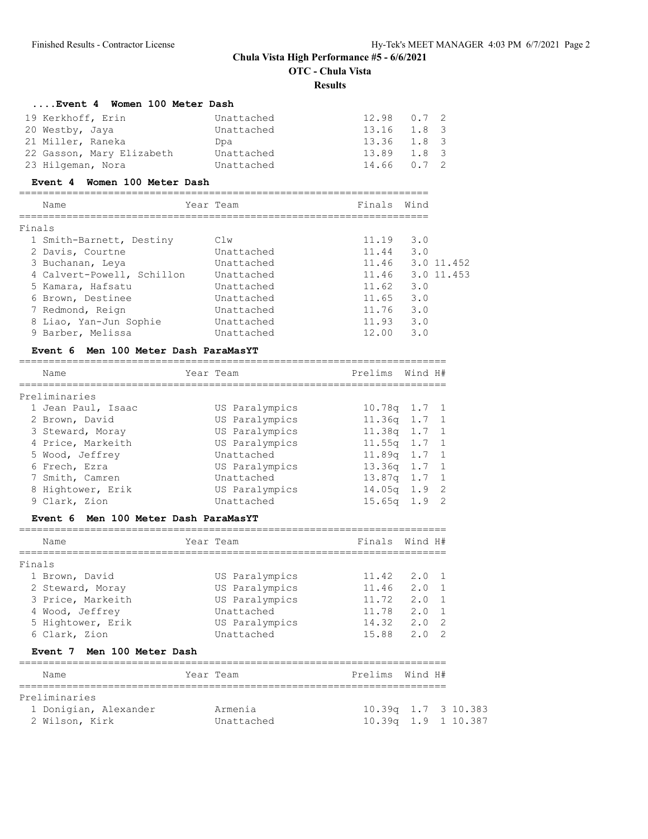**OTC - Chula Vista**

#### **Results**

| Event 4 Women 100 Meter Dash         |                   |                      |         |                |          |
|--------------------------------------|-------------------|----------------------|---------|----------------|----------|
| 19 Kerkhoff, Erin                    | Unattached        | 12.98                | 0.7     | 2              |          |
| 20 Westby, Jaya                      | Unattached        | $13.16$ $1.8$        |         | 3              |          |
| 21 Miller, Raneka                    | Dpa               | 13.36 1.8            |         | 3              |          |
| 22 Gasson, Mary Elizabeth            | Unattached        | 13.89                | 1.8     | 3              |          |
| 23 Hilgeman, Nora                    | Unattached        | 14.66                | 0.7     | $\overline{2}$ |          |
| Event 4 Women 100 Meter Dash         |                   |                      |         |                |          |
| Name                                 | Year Team         | Finals Wind          |         |                |          |
| Finals                               |                   |                      |         |                |          |
| 1 Smith-Barnett, Destiny             | C1w               | $11.19$ 3.0          |         |                |          |
| 2 Davis, Courtne                     | Unattached        | $11.44$ 3.0          |         |                |          |
| 3 Buchanan, Leya                     | Unattached        | 11.46 3.0 11.452     |         |                |          |
| 4 Calvert-Powell, Schillon           | Unattached        | 11.46 3.0 11.453     |         |                |          |
| 5 Kamara, Hafsatu                    | Unattached        | 11.62 3.0            |         |                |          |
| 6 Brown, Destinee                    | Unattached        | 11.65                | 3.0     |                |          |
| 7 Redmond, Reign                     | Unattached        | 11.76 3.0            |         |                |          |
| 8 Liao, Yan-Jun Sophie               | Unattached        | 11.93 3.0            |         |                |          |
| 9 Barber, Melissa                    | Unattached        | $12.00 \t3.0$        |         |                |          |
|                                      |                   |                      |         |                |          |
| Event 6 Men 100 Meter Dash ParaMasYT |                   |                      |         |                |          |
| Name                                 | Year Team         | Prelims Wind H#      |         |                |          |
| Preliminaries                        |                   |                      |         |                |          |
| 1 Jean Paul, Isaac                   | US Paralympics    | 10.78q 1.7 1         |         |                |          |
| 2 Brown, David                       | US Paralympics    | $11.36q$ 1.7         |         | 1              |          |
| 3 Steward, Moray                     | US Paralympics    | 11.38q 1.7           |         | 1              |          |
| 4 Price, Markeith                    | US Paralympics    | $11.55q$ $1.7$       |         | $\mathbf{1}$   |          |
| 5 Wood, Jeffrey                      | Unattached        | 11.89q 1.7           |         | 1              |          |
| 6 Frech, Ezra                        | US Paralympics    | $13.36q$ 1.7         |         | 1              |          |
| 7 Smith, Camren                      | Unattached        | 13.87q 1.7           |         | 1              |          |
| 8 Hightower, Erik                    | US Paralympics    | $14.05q$ 1.9         |         | 2              |          |
| 9 Clark, Zion                        | Unattached        | $15.65q$ $1.9$       |         | 2              |          |
| Event 6 Men 100 Meter Dash ParaMasYT |                   |                      |         |                |          |
| Name                                 | Year Team         | Finals Wind H#       |         |                |          |
| Finals                               | _________________ | ==================== |         |                |          |
| 1 Brown, David                       | US Paralympics    | 11.42                | 2.0     | 1              |          |
| 2 Steward, Moray                     | US Paralympics    | 11.46                | 2.0     | 1              |          |
| 3 Price, Markeith                    | US Paralympics    | 11.72                | 2.0     | 1              |          |
| 4 Wood, Jeffrey                      | Unattached        | 11.78                | 2.0     | 1              |          |
| 5 Hightower, Erik                    | US Paralympics    | 14.32                | 2.0     | 2              |          |
| 6 Clark, Zion                        | Unattached        | 15.88                | 2.0     | 2              |          |
| <b>Event 7</b><br>Men 100 Meter Dash |                   |                      |         |                |          |
| Name                                 | Year Team         | Prelims              | Wind H# |                |          |
| Preliminaries                        |                   |                      |         |                |          |
| 1 Donigian, Alexander                | Armenia           | $10.39q$ 1.7         |         |                | 3 10.383 |
| 2 Wilson, Kirk                       | Unattached        | $10.39q$ 1.9         |         |                | 1 10.387 |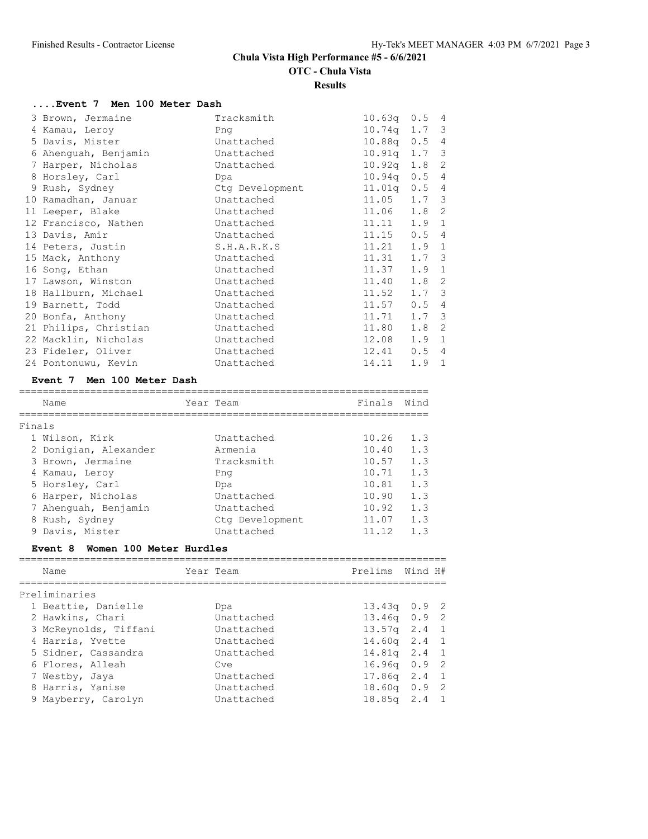**OTC - Chula Vista**

**Results**

# **....Event 7 Men 100 Meter Dash**

| 3 Brown, Jermaine     | Tracksmith      | $10.63q$ $0.5$ 4 |               |                |
|-----------------------|-----------------|------------------|---------------|----------------|
| 4 Kamau, Leroy        | Png             | $10.74q$ 1.7 3   |               |                |
| 5 Davis, Mister       | Unattached      | 10.88q 0.5 4     |               |                |
| 6 Ahenguah, Benjamin  | Unattached      | $10.91q$ 1.7 3   |               |                |
| 7 Harper, Nicholas    | Unattached      | $10.92q$ 1.8 2   |               |                |
| 8 Horsley, Carl       | Dpa             | $10.94q$ 0.5 4   |               |                |
| 9 Rush, Sydney        | Ctg Development | $11.01q$ 0.5 4   |               |                |
| 10 Ramadhan, Januar   | Unattached      | $11.05$ $1.7$ 3  |               |                |
| 11 Leeper, Blake      | Unattached      | 11.06 1.8 2      |               |                |
| 12 Francisco, Nathen  | Unattached      | 11.11            | $1.9 \quad 1$ |                |
| 13 Davis, Amir        | Unattached      | 11.15            | 0.54          |                |
| 14 Peters, Justin     | S.H.A.R.K.S     | 11.21            | $1.9 \quad 1$ |                |
| 15 Mack, Anthony      | Unattached      | 11.31            | $1.7-3$       |                |
| 16 Song, Ethan        | Unattached      | 11.37            | $1.9 \quad 1$ |                |
| 17 Lawson, Winston    | Unattached      | 11.40            | $1.8-2$       |                |
| 18 Hallburn, Michael  | Unattached      | 11.52            | $1.7-3$       |                |
| 19 Barnett, Todd      | Unattached      | 11.57            | 0.54          |                |
| 20 Bonfa, Anthony     | Unattached      | 11.71            | $1.7 \quad 3$ |                |
| 21 Philips, Christian | Unattached      | 11.80            | $1.8-2$       |                |
| 22 Macklin, Nicholas  | Unattached      | 12.08            | $1.9 \quad 1$ |                |
| 23 Fideler, Oliver    | Unattached      | 12.41            | 0.54          |                |
| 24 Pontonuwu, Kevin   | Unattached      | 14.11            | 1.9           | $\overline{1}$ |
|                       |                 |                  |               |                |

#### **Event 7 Men 100 Meter Dash**

|        | Name                  | Year Team       | Finals | Wind |
|--------|-----------------------|-----------------|--------|------|
| Finals |                       |                 |        |      |
|        | 1 Wilson, Kirk        | Unattached      | 10.26  | 1.3  |
|        | 2 Donigian, Alexander | Armenia         | 10.40  | 1.3  |
|        | 3 Brown, Jermaine     | Tracksmith      | 10.57  | 1.3  |
|        | 4 Kamau, Leroy        | Png             | 10.71  | 1.3  |
|        | 5 Horsley, Carl       | Dpa             | 10.81  | 1.3  |
|        | 6 Harper, Nicholas    | Unattached      | 10.90  | 1.3  |
|        | 7 Ahenguah, Benjamin  | Unattached      | 10.92  | 1.3  |
|        | 8 Rush, Sydney        | Ctg Development | 11.07  | 1.3  |
|        | 9 Davis, Mister       | Unattached      | 11.12  | 1.3  |

# **Event 8 Women 100 Meter Hurdles**

| Name                  | Year Team  | Prelims Wind H# |  |
|-----------------------|------------|-----------------|--|
| Preliminaries         |            |                 |  |
| 1 Beattie, Danielle   | Dpa        | $13.43q$ 0.9 2  |  |
| 2 Hawkins, Chari      | Unattached | $13.46q$ 0.9 2  |  |
| 3 McReynolds, Tiffani | Unattached | $13.57q$ 2.4 1  |  |
| 4 Harris, Yvette      | Unattached | $14.60q$ 2.4 1  |  |
| 5 Sidner, Cassandra   | Unattached | $14.81q$ 2.4 1  |  |
| 6 Flores, Alleah      | Cve        | $16.96q$ 0.9 2  |  |
| 7 Westby, Jaya        | Unattached | $17.86q$ 2.4 1  |  |
| 8 Harris, Yanise      | Unattached | $18.60q$ 0.9 2  |  |
| 9 Mayberry, Carolyn   | Unattached | $18.85q$ 2.4 1  |  |
|                       |            |                 |  |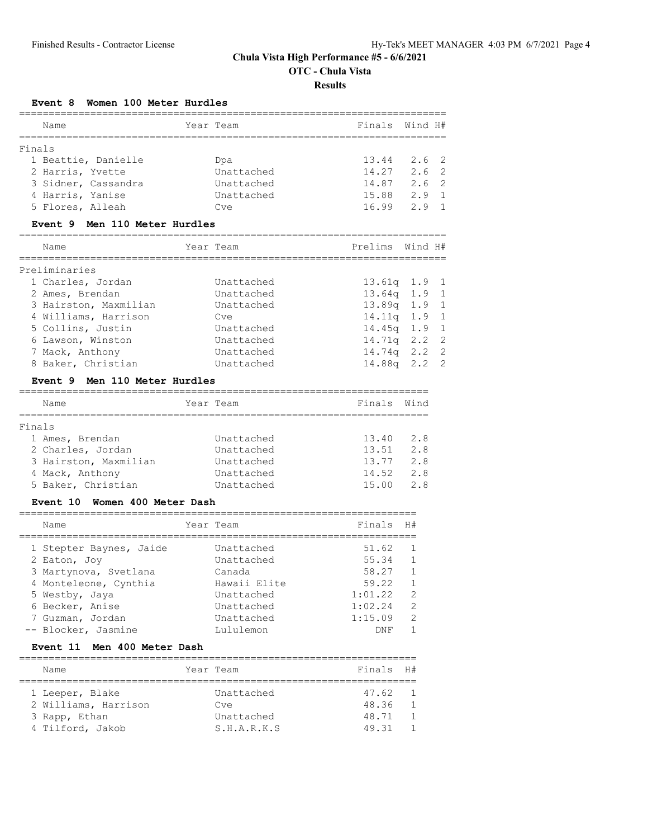**OTC - Chula Vista**

**Results**

## **Event 8 Women 100 Meter Hurdles**

|                                         |            | ============================== |         |              |
|-----------------------------------------|------------|--------------------------------|---------|--------------|
| Name                                    | Year Team  | Finals                         | Wind H# |              |
| Finals                                  |            |                                |         |              |
| 1 Beattie, Danielle                     | Dpa        | $13.44$ 2.6                    |         | 2            |
| 2 Harris, Yvette                        | Unattached | 14.27                          | 2.6     | 2            |
| 3 Sidner, Cassandra                     | Unattached | 14.87 2.6                      |         | 2            |
| 4 Harris, Yanise                        | Unattached | 15.88                          | 2.9     | $\mathbf{1}$ |
| 5 Flores, Alleah                        | Cve        | 16.99                          | 2.9     | $\mathbf{1}$ |
| Men 110 Meter Hurdles<br><b>Event 9</b> |            |                                |         |              |
| Name                                    | Year Team  | Prelims                        | Wind H# |              |
| Preliminaries                           |            |                                |         |              |
| 1 Charles, Jordan                       | Unattached | $13.61q$ $1.9$                 |         | 1            |
| 2 Ames, Brendan                         | Unattached | $13.64q$ 1.9                   |         | $\mathbf{1}$ |
| 3 Hairston, Maxmilian                   | Unattached | 13.89q 1.9                     |         | $\mathbf{1}$ |
| 4 Williams, Harrison                    | Cve        | $14.11q$ 1.9                   |         | $\mathbf 1$  |
| 5 Collins, Justin                       | Unattached | $14.45q$ 1.9                   |         | $\mathbf 1$  |
| 6 Lawson, Winston                       | Unattached | $14.71q$ 2.2                   |         | 2            |
| 7 Mack, Anthony                         | Unattached | $14.74q$ 2.2                   |         | $\mathbf{2}$ |
| 8 Baker, Christian                      | Unattached | $14.88q$ 2.2                   |         | 2            |
| Event 9 Men 110 Meter Hurdles           |            |                                |         |              |
| Name                                    | Year Team  | Finals                         | Wind    |              |
| Finals                                  |            |                                |         |              |
| 1 Ames, Brendan                         | Unattached | 13.40 2.8                      |         |              |
| 2 Charles, Jordan                       | Unattached | $13.51$ $2.8$                  |         |              |
| 3 Hairston, Maxmilian                   | Unattached | 13.77                          | 2.8     |              |
| 4 Mack, Anthony                         | Unattached | 14.52                          | 2.8     |              |
| 5 Baker, Christian                      | Unattached | 15.00                          | 2.8     |              |
| Event 10 Women 400 Meter Dash           |            |                                |         |              |

| Name                                  | Year Team            | Finals         | H#                             |
|---------------------------------------|----------------------|----------------|--------------------------------|
| 1 Stepter Baynes, Jaide               | Unattached           | 51.62          | $\overline{1}$<br>$\mathbf{1}$ |
| 2 Eaton, Joy<br>3 Martynova, Svetlana | Unattached<br>Canada | 55.34<br>58.27 | $\overline{1}$                 |
| 4 Monteleone, Cynthia                 | Hawaii Elite         | 59.22          | $\overline{1}$                 |
| 5 Westby, Jaya                        | Unattached           | 1:01.22        | $\overline{2}$                 |
| 6 Becker, Anise                       | Unattached           | 1:02.24        | - 2                            |
| 7 Guzman, Jordan                      | Unattached           | 1:15.09        | 2                              |
| -- Blocker, Jasmine                   | Lululemon            | DNF            | $\mathbf{1}$                   |

## **Event 11 Men 400 Meter Dash**

| Name                 |  | Year Team   | Finals H# |                |  |  |  |  |  |
|----------------------|--|-------------|-----------|----------------|--|--|--|--|--|
|                      |  |             |           |                |  |  |  |  |  |
| 1 Leeper, Blake      |  | Unattached  | 47.62     | $\overline{1}$ |  |  |  |  |  |
| 2 Williams, Harrison |  | Cve         | 48.36     |                |  |  |  |  |  |
| 3 Rapp, Ethan        |  | Unattached  | 48.71     |                |  |  |  |  |  |
| 4 Tilford, Jakob     |  | S.H.A.R.K.S | 49.31     |                |  |  |  |  |  |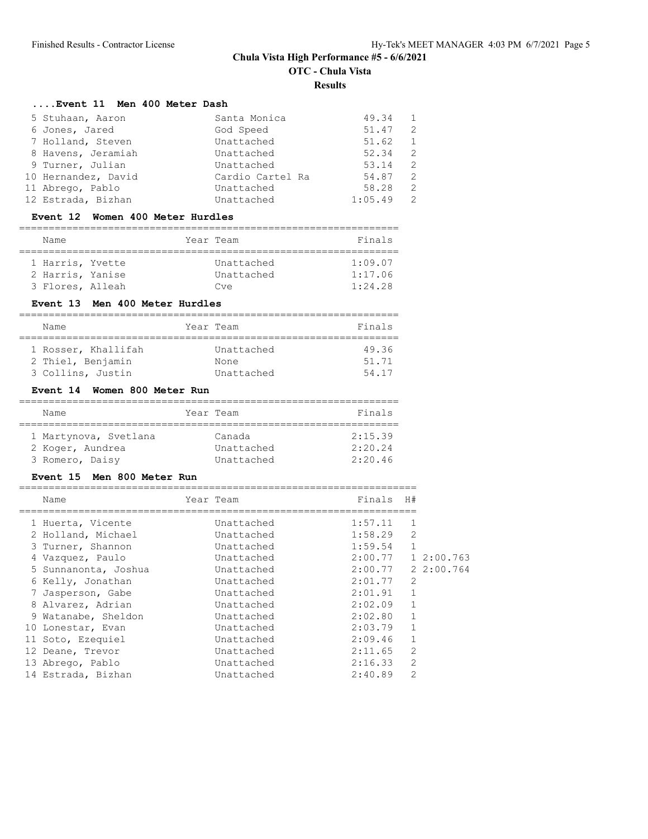**OTC - Chula Vista**

**Results**

#### **....Event 11 Men 400 Meter Dash**

| 5 Stuhaan, Aaron    | Santa Monica     | 49.34   | $\overline{1}$ |
|---------------------|------------------|---------|----------------|
| 6 Jones, Jared      | God Speed        | 51.47   | 2              |
| 7 Holland, Steven   | Unattached       | 51.62   | 1              |
| 8 Havens, Jeramiah  | Unattached       | 52.34   | -2             |
| 9 Turner, Julian    | Unattached       | 53.14   | -2             |
| 10 Hernandez, David | Cardio Cartel Ra | 54.87   | $\mathcal{L}$  |
| 11 Abrego, Pablo    | Unattached       | 58.28   | 2              |
| 12 Estrada, Bizhan  | Unattached       | 1:05.49 | 2              |

#### **Event 12 Women 400 Meter Hurdles**

#### ================================================================ Name Year Team Finals ================================================================ 1 Harris, Yvette Unattached 1:09.07 2 Harris, Yanise Unattached 1:17.06

| 3 Flores, Alleah |                                | Cve | 1:24.28 |
|------------------|--------------------------------|-----|---------|
|                  | Event 13 Men 400 Meter Hurdles |     |         |

#### ================================================================ Name **Year** Team **Finals** ================================================================ 1 Rosser, Khallifah Unattached 49.36 2 Thiel, Benjamin None None 51.71 3 Collins, Justin Unattached 54.17

#### **Event 14 Women 800 Meter Run**

| Name                  |  | Year Team  | Finals  |  |  |  |  |  |
|-----------------------|--|------------|---------|--|--|--|--|--|
|                       |  |            |         |  |  |  |  |  |
| 1 Martynova, Svetlana |  | Canada     | 2:15.39 |  |  |  |  |  |
| 2 Koger, Aundrea      |  | Unattached | 2:20.24 |  |  |  |  |  |
| 3 Romero, Daisy       |  | Unattached | 2:20.46 |  |  |  |  |  |

#### **Event 15 Men 800 Meter Run**

| Name                 |  | Year Team  | Finals             | H#             |            |  |
|----------------------|--|------------|--------------------|----------------|------------|--|
| 1 Huerta, Vicente    |  | Unattached | 1:57.11            | 1              |            |  |
| 2 Holland, Michael   |  | Unattached | 1:58.29            | $\overline{2}$ |            |  |
| 3 Turner, Shannon    |  | Unattached | 1:59.54            | $\mathbf{1}$   |            |  |
| 4 Vazquez, Paulo     |  | Unattached | 2:00.77            |                | 1 2:00.763 |  |
| 5 Sunnanonta, Joshua |  | Unattached | 2:00.77 2 2:00.764 |                |            |  |
| 6 Kelly, Jonathan    |  | Unattached | 2:01.77            | $\overline{2}$ |            |  |
| 7 Jasperson, Gabe    |  | Unattached | 2:01.91            | $\mathbf{1}$   |            |  |
| 8 Alvarez, Adrian    |  | Unattached | 2:02.09            | $\mathbf{1}$   |            |  |
| 9 Watanabe, Sheldon  |  | Unattached | 2:02.80            | $\mathbf{1}$   |            |  |
| 10 Lonestar, Evan    |  | Unattached | 2:03.79            | 1              |            |  |
| 11 Soto, Ezequiel    |  | Unattached | 2:09.46            | $\mathbf{1}$   |            |  |
| 12 Deane, Trevor     |  | Unattached | 2:11.65            | $\overline{2}$ |            |  |
| 13 Abrego, Pablo     |  | Unattached | 2:16.33            | $\overline{2}$ |            |  |
| 14 Estrada, Bizhan   |  | Unattached | 2:40.89            | $\mathfrak{D}$ |            |  |
|                      |  |            |                    |                |            |  |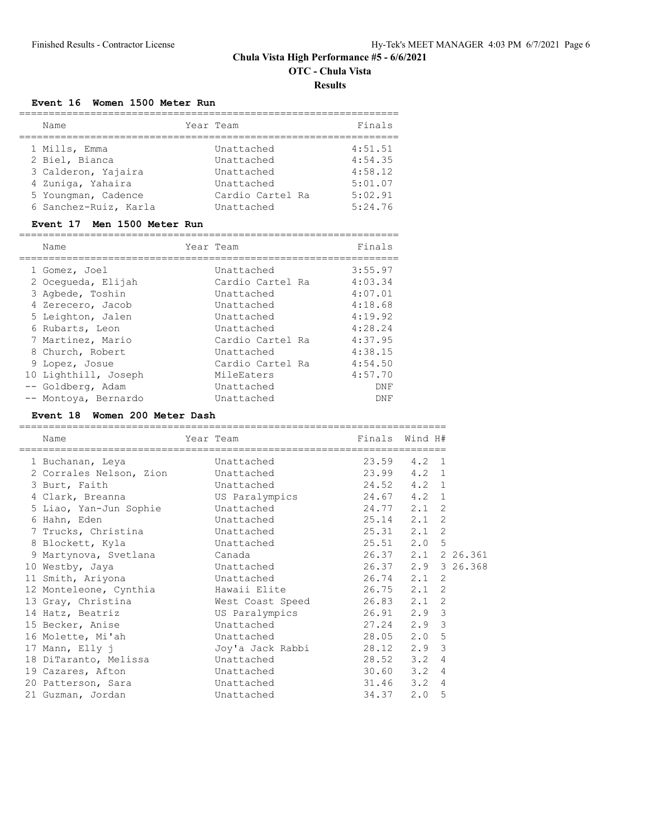## **Chula Vista High Performance #5 - 6/6/2021 OTC - Chula Vista**

# **Results**

## **Event 16 Women 1500 Meter Run**

| Name                  | Year Team        | Finals  |
|-----------------------|------------------|---------|
| 1 Mills, Emma         | Unattached       | 4:51.51 |
| 2 Biel, Bianca        | Unattached       | 4:54.35 |
| 3 Calderon, Yajaira   | Unattached       | 4:58.12 |
| 4 Zuniga, Yahaira     | Unattached       | 5:01.07 |
| 5 Youngman, Cadence   | Cardio Cartel Ra | 5:02.91 |
| 6 Sanchez-Ruiz, Karla | Unattached       | 5:24.76 |
|                       |                  |         |

#### **Event 17 Men 1500 Meter Run**

| Name                 | Year Team |                  | Finals  |
|----------------------|-----------|------------------|---------|
| 1 Gomez, Joel        |           | Unattached       | 3:55.97 |
|                      |           |                  |         |
| 2 Ocequeda, Elijah   |           | Cardio Cartel Ra | 4:03.34 |
| 3 Aqbede, Toshin     |           | Unattached       | 4:07.01 |
| 4 Zerecero, Jacob    |           | Unattached       | 4:18.68 |
| 5 Leighton, Jalen    |           | Unattached       | 4:19.92 |
| 6 Rubarts, Leon      |           | Unattached       | 4:28.24 |
| 7 Martinez, Mario    |           | Cardio Cartel Ra | 4:37.95 |
| 8 Church, Robert     |           | Unattached       | 4:38.15 |
| 9 Lopez, Josue       |           | Cardio Cartel Ra | 4:54.50 |
| 10 Lighthill, Joseph |           | MileEaters       | 4:57.70 |
| -- Goldberg, Adam    |           | Unattached       | DNF     |
| -- Montoya, Bernardo |           | Unattached       | DNF     |

## **Event 18 Women 200 Meter Dash**

| Name                                  | Year Team                  | Finals Wind H#     |                |  |
|---------------------------------------|----------------------------|--------------------|----------------|--|
| 1 Buchanan, Leya                      | Unattached                 | 23.59 4.2 1        |                |  |
| 2 Corrales Nelson, Zion Unattached    |                            | 23.99 4.2 1        |                |  |
| 3 Burt, Faith                         | Unattached                 | 24.52 4.2 1        |                |  |
| 4 Clark, Breanna                      | US Paralympics 24.67 4.2 1 |                    |                |  |
| 5 Liao, Yan-Jun Sophie     Unattached |                            | 24.77 2.1          | 2              |  |
| 6 Hahn, Eden                          | Unattached                 | 25.14 2.1          | 2              |  |
| 7 Trucks, Christina both Unattached   |                            | 25.31 2.1          | 2              |  |
| 8 Blockett, Kyla                      | Unattached                 | 25.51 2.0 5        |                |  |
| 9 Martynova, Svetlana Canada          |                            | 26.37 2.1 2 26.361 |                |  |
| 10 Westby, Jaya                       | Unattached                 | 26.37 2.9 3 26.368 |                |  |
| 11 Smith, Ariyona                     | Unattached                 | 26.74 2.1 2        |                |  |
| 12 Monteleone, Cynthia                | Hawaii Elite 196.75 2.1 2  |                    |                |  |
| 13 Gray, Christina                    | West Coast Speed 26.83 2.1 |                    | 2              |  |
| 14 Hatz, Beatriz                      | US Paralympics 26.91 2.9 3 |                    |                |  |
| 15 Becker, Anise                      | Unattached 27.24 2.9       |                    | 3              |  |
| 16 Molette, Mi'ah                     | Unattached                 | 28.05 2.0 5        |                |  |
| 17 Mann, Elly j                       |                            |                    | 3              |  |
| 18 DiTaranto, Melissa                 | Unattached                 | $28.52$ $3.2$      | $\overline{4}$ |  |
| 19 Cazares, Afton                     | Unattached                 | $30.60$ $3.2$      | 4              |  |
| 20 Patterson, Sara                    | Unattached                 | $31.46$ $3.2$      | 4              |  |
| 21 Guzman, Jordan                     | Unattached                 | $34.37$ 2.0        | 5              |  |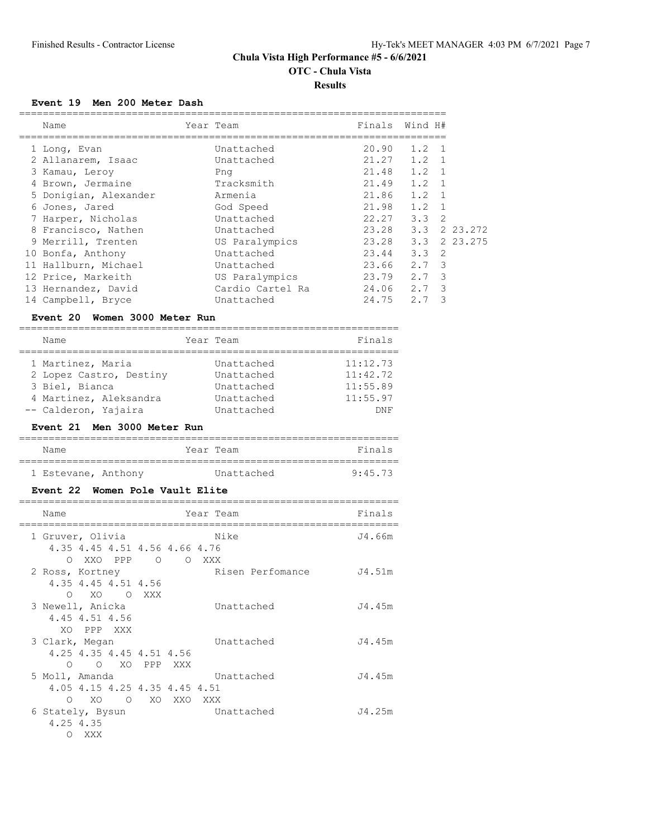**OTC - Chula Vista**

**Results**

#### **Event 19 Men 200 Meter Dash**

| Name                  | Year Team        | Finals | Wind H#       |                |
|-----------------------|------------------|--------|---------------|----------------|
| 1 Long, Evan          | Unattached       | 20.90  | 1.2           | $\overline{1}$ |
| 2 Allanarem, Isaac    | Unattached       | 21.27  | $1.2 \quad 1$ |                |
| 3 Kamau, Leroy        | Png              | 21.48  | $1.2 \quad 1$ |                |
| 4 Brown, Jermaine     | Tracksmith       | 21.49  | 1.2           | $\overline{1}$ |
| 5 Donigian, Alexander | Armenia          | 21.86  | 1.2           | $\overline{1}$ |
| 6 Jones, Jared        | God Speed        | 21.98  | 1.2           | $\overline{1}$ |
| 7 Harper, Nicholas    | Unattached       | 22.27  | $3.3 \quad 2$ |                |
| 8 Francisco, Nathen   | Unattached       | 23.28  | 3.3           | 2 23.272       |
| 9 Merrill, Trenten    | US Paralympics   | 23.28  | 3.3           | 2 23, 275      |
| 10 Bonfa, Anthony     | Unattached       | 23.44  | $3.3 \quad 2$ |                |
| 11 Hallburn, Michael  | Unattached       | 23.66  | 2.7 3         |                |
| 12 Price, Markeith    | US Paralympics   | 23.79  | 2.7           | - 3            |
| 13 Hernandez, David   | Cardio Cartel Ra | 24.06  | 2.7           | 3              |
| 14 Campbell, Bryce    | Unattached       | 24.75  | 2.7           | 3              |

#### **Event 20 Women 3000 Meter Run**

| Name | Year | Team | Fina |
|------|------|------|------|
|      |      |      | __   |

| 1 Martinez, Maria       | Unattached | 11:12.73 |
|-------------------------|------------|----------|
| 2 Lopez Castro, Destiny | Unattached | 11:42.72 |
| 3 Biel, Bianca          | Unattached | 11:55.89 |
| 4 Martinez, Aleksandra  | Unattached | 11:55.97 |
| -- Calderon, Yajaira    | Unattached | DNF      |

## **Event 21 Men 3000 Meter Run**

| Name                | Year Team |            | Finals  |
|---------------------|-----------|------------|---------|
|                     |           |            |         |
| 1 Estevane, Anthony |           | Unattached | 9:45.73 |

#### **Event 22 Women Pole Vault Elite**

| Name             |                |                               |        | Year Team        | Finals |
|------------------|----------------|-------------------------------|--------|------------------|--------|
| 1 Gruver, Olivia |                |                               |        | Nike             | J4.66m |
|                  |                | 4.35 4.45 4.51 4.56 4.66 4.76 |        |                  |        |
|                  |                | O XXO PPP O O XXX             |        |                  |        |
| 2 Ross, Kortney  |                |                               |        | Risen Perfomance | J4.51m |
|                  |                | 4.35 4.45 4.51 4.56           |        |                  |        |
|                  | $\Omega$       | XO OXXX                       |        |                  |        |
| 3 Newell, Anicka |                |                               |        | Unattached       | J4.45m |
|                  | 4.45 4.51 4.56 |                               |        |                  |        |
|                  | XO PPP XXX     |                               |        |                  |        |
| 3 Clark, Megan   |                |                               |        | Unattached       | J4.45m |
|                  |                | 4.25 4.35 4.45 4.51 4.56      |        |                  |        |
|                  |                | O O XO PPP XXX                |        |                  |        |
| 5 Moll, Amanda   |                |                               |        | Unattached       | J4.45m |
|                  |                | 4.05 4.15 4.25 4.35 4.45 4.51 |        |                  |        |
| $\bigcirc$       | XO.            | $\overline{O}$                | XO XXO | XXX              |        |
| 6 Stately, Bysun |                |                               |        | Unattached       | J4.25m |
|                  | 4.25 4.35      |                               |        |                  |        |
| ∩                | XXX            |                               |        |                  |        |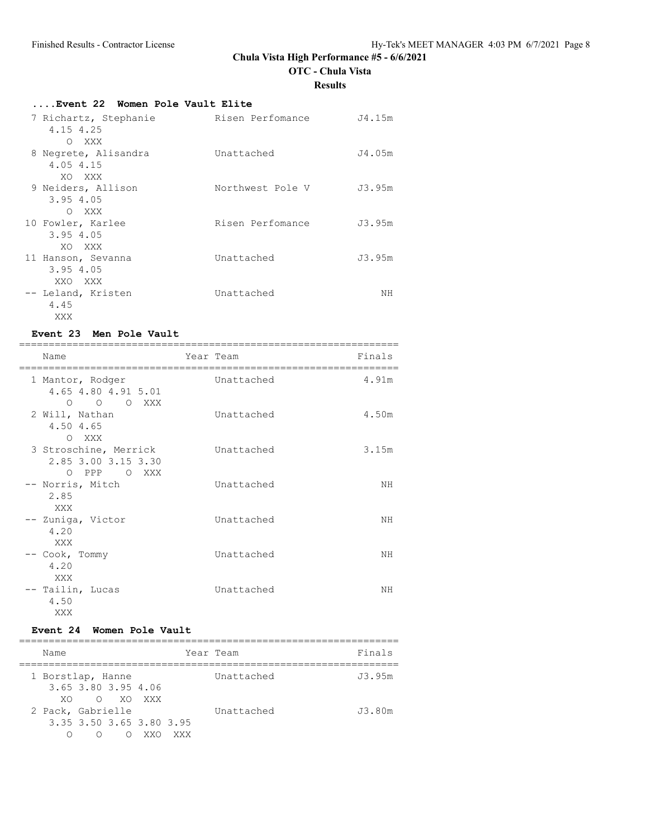**OTC - Chula Vista**

**Results**

# **....Event 22 Women Pole Vault Elite**

| 7 Richartz, Stephanie<br>4.15 4.25<br>$\bigcirc$<br>XXX | Risen Perfomance | J4.15m |
|---------------------------------------------------------|------------------|--------|
| 8 Negrete, Alisandra<br>4.05 4.15<br>XO XXX             | Unattached       | J4.05m |
| 9 Neiders, Allison<br>3.95 4.05<br>O XXX                | Northwest Pole V | J3.95m |
| 10 Fowler, Karlee<br>3.95 4.05<br>XO XXX                | Risen Perfomance | J3.95m |
| 11 Hanson, Sevanna<br>3.95 4.05<br>XXO XXX              | Unattached       | J3.95m |
| -- Leland, Kristen<br>4.45<br>XXX                       | Unattached       | NH     |

#### **Event 23 Men Pole Vault**

| Name                                                          | Year Team |            | Finals |
|---------------------------------------------------------------|-----------|------------|--------|
| 1 Mantor, Rodger<br>4.65 4.80 4.91 5.01<br>O O XXX<br>$\circ$ |           | Unattached | 4.91m  |
| 2 Will, Nathan<br>4.50 4.65<br>O XXX                          |           | Unattached | 4.50m  |
| 3 Stroschine, Merrick<br>2.85 3.00 3.15 3.30<br>O PPP O XXX   |           | Unattached | 3.15m  |
| -- Norris, Mitch<br>2.85<br>XXX                               |           | Unattached | NH     |
| -- Zuniga, Victor<br>4.20<br>XXX                              |           | Unattached | NΗ     |
| -- Cook, Tommy<br>4.20<br>XXX                                 |           | Unattached | NΗ     |
| -- Tailin, Lucas<br>4.50<br>XXX                               |           | Unattached | NΗ     |

## **Event 24 Women Pole Vault**

| Name                     | Year Team  |            | Finals |
|--------------------------|------------|------------|--------|
| 1 Borstlap, Hanne        |            | Unattached | J3.95m |
| 3.65 3.80 3.95 4.06      |            |            |        |
| O XO XXX<br>XO.          |            |            |        |
| 2 Pack, Gabrielle        |            | Unattached | J3.80m |
| 3.35 3.50 3.65 3.80 3.95 |            |            |        |
| ∩                        | XXO<br>XXX |            |        |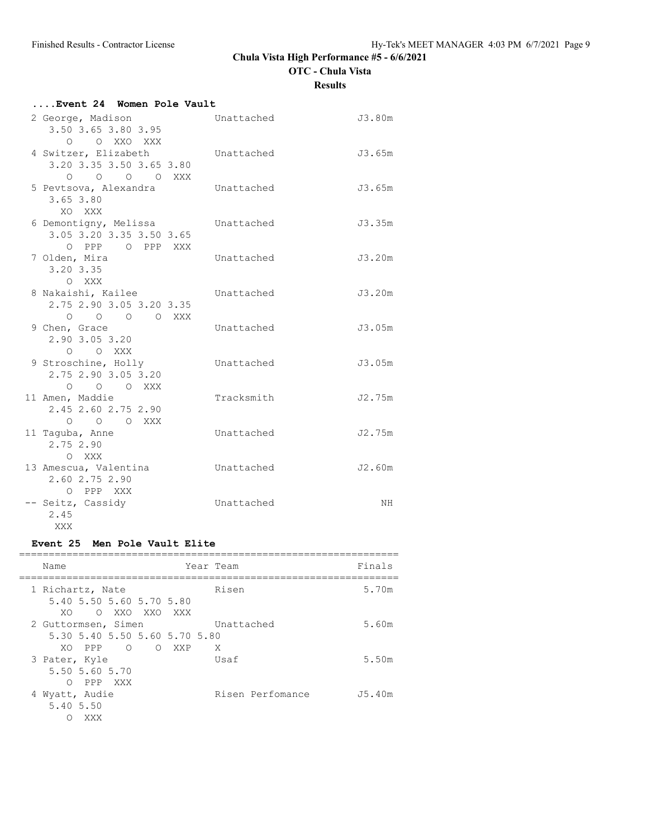**OTC - Chula Vista**

**Results**

| Event 24 Women Pole Vault                                                |            |        |
|--------------------------------------------------------------------------|------------|--------|
| 2 George, Madison<br>3.50 3.65 3.80 3.95                                 | Unattached | J3.80m |
| O XXO XXX<br>$\circ$<br>4 Switzer, Elizabeth<br>3.20 3.35 3.50 3.65 3.80 | Unattached | J3.65m |
| O O O XXX<br>$\circ$<br>5 Pevtsova, Alexandra<br>3.65 3.80               | Unattached | J3.65m |
| XO XXX<br>6 Demontigny, Melissa<br>3.05 3.20 3.35 3.50 3.65              | Unattached | J3.35m |
| O PPP O PPP XXX<br>7 Olden, Mira<br>3.20 3.35                            | Unattached | J3.20m |
| O XXX<br>8 Nakaishi, Kailee<br>2.75 2.90 3.05 3.20 3.35                  | Unattached | J3.20m |
| O O O O XXX<br>9 Chen, Grace<br>2.90 3.05 3.20                           | Unattached | J3.05m |
| O XXX<br>$\circ$<br>9 Stroschine, Holly<br>2.75 2.90 3.05 3.20           | Unattached | J3.05m |
| O O O XXX<br>11 Amen, Maddie<br>2.45 2.60 2.75 2.90                      | Tracksmith | J2.75m |
| O O O XXX<br>11 Taguba, Anne<br>2.75 2.90                                | Unattached | J2.75m |
| O XXX<br>13 Amescua, Valentina<br>2.60 2.75 2.90                         | Unattached | J2.60m |
| O PPP XXX<br>-- Seitz, Cassidy<br>2.45<br>XXX                            | Unattached | NH     |

## **Event 25 Men Pole Vault Elite**

| Name                |                               |            |   |       | Year Team  |                  | Finals |
|---------------------|-------------------------------|------------|---|-------|------------|------------------|--------|
| 1 Richartz, Nate    |                               |            |   |       | Risen      |                  | 5.70m  |
| XO.                 | 5.40 5.50 5.60 5.70 5.80      | O XXO XXO  |   | XXX X |            |                  |        |
| 2 Guttormsen, Simen |                               |            |   |       | Unattached |                  | 5.60m  |
|                     | 5.30 5.40 5.50 5.60 5.70 5.80 |            |   |       |            |                  |        |
|                     | XO PPP                        | $\bigcirc$ | ∩ | XXP   | X          |                  |        |
| 3 Pater, Kyle       |                               |            |   |       | Usaf       |                  | 5.50m  |
|                     | 5.50 5.60 5.70                |            |   |       |            |                  |        |
| ∩                   | PPP XXX                       |            |   |       |            |                  |        |
| 4 Wyatt, Audie      |                               |            |   |       |            | Risen Perfomance | J5.40m |
| 5.40 5.50           |                               |            |   |       |            |                  |        |
|                     | XXX                           |            |   |       |            |                  |        |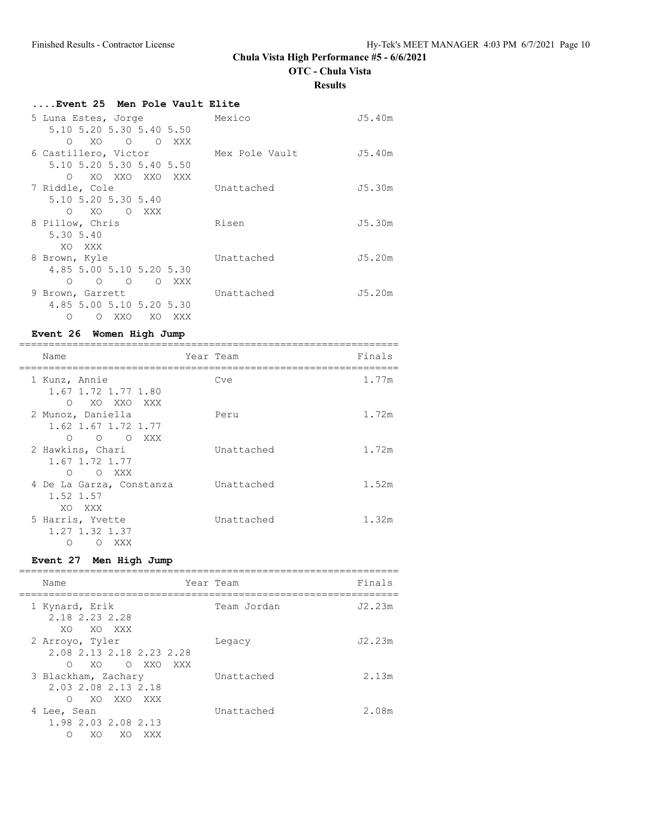**OTC - Chula Vista**

#### **Results**

| Event 25 Men Pole Vault Elite               |                |        |
|---------------------------------------------|----------------|--------|
| 5 Luna Estes, Jorge                         | Mexico         | J5.40m |
| 5.10 5.20 5.30 5.40 5.50                    |                |        |
| O XO O O XXX                                |                |        |
| 6 Castillero, Victor                        | Mex Pole Vault | J5.40m |
| 5.10 5.20 5.30 5.40 5.50                    |                |        |
| XO XXO XXO XXX<br>$\bigcirc$                |                |        |
| 7 Riddle, Cole                              | Unattached     | J5.30m |
| 5.10 5.20 5.30 5.40                         |                |        |
| XO OXXX<br>$\Omega$                         |                |        |
| 8 Pillow, Chris                             | Risen          | J5.30m |
| 5.30 5.40                                   |                |        |
| XO XXX                                      |                |        |
| 8 Brown, Kyle                               | Unattached     | J5.20m |
| 4.85 5.00 5.10 5.20 5.30                    |                |        |
| $\circ$ $\circ$ $\circ$<br>O XXX<br>$\circ$ |                |        |
| 9 Brown, Garrett                            | Unattached     | J5.20m |
| 4.85 5.00 5.10 5.20 5.30                    |                |        |
| XXO<br>XO XXX<br>Ω<br>$\circ$               |                |        |

## **Event 26 Women High Jump**

| Name                                                             | Year Team  | Finals |
|------------------------------------------------------------------|------------|--------|
| 1 Kunz, Annie<br>1.67 1.72 1.77 1.80<br>XO XXO XXX<br>$\bigcirc$ | Cve        | 1.77m  |
| 2 Munoz, Daniella<br>1.62 1.67 1.72 1.77<br>O O XXX<br>∩         | Peru       | 1.72m  |
| 2 Hawkins, Chari<br>1.67 1.72 1.77<br>$\bigcirc$<br>O XXX        | Unattached | 1.72m  |
| 4 De La Garza, Constanza<br>1.52 1.57<br>XO XXX                  | Unattached | 1.52m  |
| 5 Harris, Yvette<br>1.27 1.32 1.37<br>XXX<br>$\left($ )          | Unattached | 1.32m  |

# **Event 27 Men High Jump**

| Name                                                                    | Year Team   | Finals |
|-------------------------------------------------------------------------|-------------|--------|
| 1 Kynard, Erik<br>2.18 2.23 2.28<br>XO.<br>XO XXX                       | Team Jordan | J2.23m |
| 2 Arroyo, Tyler<br>2.08 2.13 2.18 2.23 2.28<br>∩<br>XO.<br>O XXO<br>XXX | Legacy      | J2.23m |
| 3 Blackham, Zachary<br>2.03 2.08 2.13 2.18<br>XO XXO XXX<br>∩           | Unattached  | 2.13m  |
| 4 Lee, Sean<br>1.98 2.03 2.08 2.13<br>XO<br>XO<br>XXX                   | Unattached  | 2.08m  |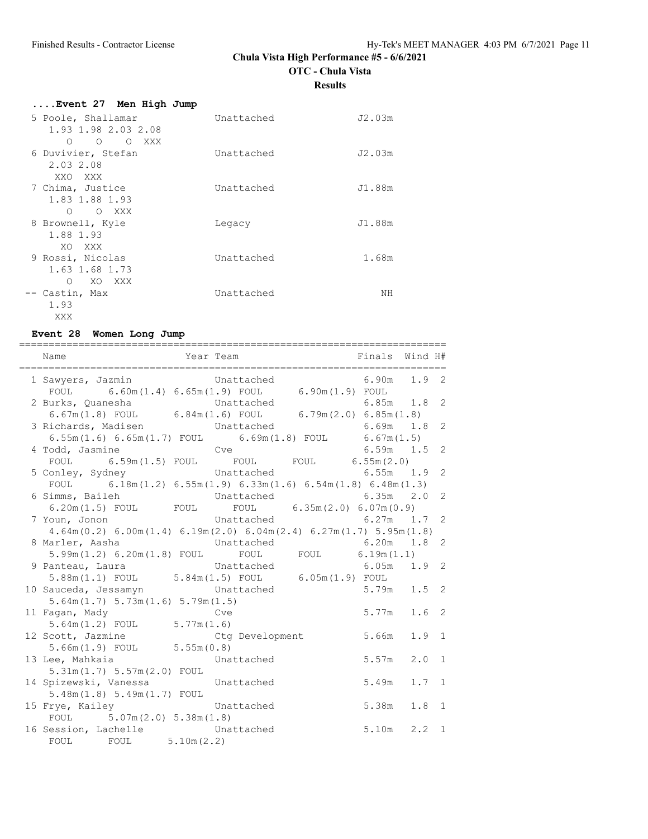**OTC - Chula Vista**

**Results**

| Event 27 Men High Jump                   |            |        |
|------------------------------------------|------------|--------|
| 5 Poole, Shallamar                       | Unattached | J2.03m |
| 1.93 1.98 2.03 2.08<br>O OXXX<br>$\circ$ |            |        |
| 6 Duvivier, Stefan                       | Unattached | J2.03m |
| 2.03 2.08<br>XXO XXX                     |            |        |
| 7 Chima, Justice                         | Unattached | J1.88m |
| 1.83 1.88 1.93                           |            |        |
| O O XXX                                  |            |        |
| 8 Brownell, Kyle                         | Legacy     | J1.88m |
| 1.88 1.93<br>XO XXX                      |            |        |
| 9 Rossi, Nicolas                         | Unattached | 1.68m  |
| 1.63 1.68 1.73                           |            |        |
| $\Omega$<br>XO XXX                       |            |        |
| -- Castin, Max                           | Unattached | ΝH     |
| 1.93                                     |            |        |
| XXX                                      |            |        |

## **Event 28 Women Long Jump**

| ========================                                 |                                                                                                 |              |
|----------------------------------------------------------|-------------------------------------------------------------------------------------------------|--------------|
|                                                          | Name $Year$ $Year$ $Year$ $Frame$ $Finals$ $Withals$                                            |              |
|                                                          |                                                                                                 |              |
|                                                          | 1 Sawyers, Jazmin Chattached 6.90m 1.9 2                                                        |              |
|                                                          | FOUL $6.60m(1.4) 6.65m(1.9)$ FOUL $6.90m(1.9)$ FOUL                                             |              |
|                                                          | 2 Burks, Quanesha<br>6.67m(1.8) FOUL 6.84m(1.6) FOUL 6.79m(2.0) 6.85m(1.8)                      |              |
|                                                          |                                                                                                 |              |
|                                                          | 3 Richards, Madisen<br>6.55m(1.6) 6.65m(1.7) FOUL 6.69m(1.8) FOUL 6.67m(1.5)<br>$6.69m$ $1.8$ 2 |              |
|                                                          |                                                                                                 |              |
| 4 Todd, Jasmine                                          | $6.59m$ $1.5$ 2<br>codd, Jasmine Cve 6.59m 1.5<br>FOUL 6.59m (1.5) FOUL FOUL FOUL 6.55m (2.0)   |              |
|                                                          |                                                                                                 |              |
| 5 Conley, Sydney                                         | Unattached 6.55m 1.9 2                                                                          |              |
|                                                          | FOUL 6.18m(1.2) $6.55m(1.9)$ $6.33m(1.6)$ $6.54m(1.8)$ $6.48m(1.3)$                             |              |
| 6 Simms, Baileh                                          | Unattached 6.35m 2.0 2                                                                          |              |
|                                                          | 6.20m(1.5) FOUL FOUL FOUL 6.35m(2.0) 6.07m(0.9)                                                 |              |
| 7 Youn, Jonon                                            | Unattached 6.27m 1.7 2                                                                          |              |
|                                                          | $4.64m(0.2) 6.00m(1.4) 6.19m(2.0) 6.04m(2.4) 6.27m(1.7) 5.95m(1.8)$                             |              |
| 8 Marler, Aasha                                          | Unattached<br>$6.20m$ $1.8$ 2                                                                   |              |
|                                                          | 5.99m(1.2) $6.20m(1.8)$ FOUL FOUL FOUL 6.19m(1.1)                                               |              |
|                                                          |                                                                                                 |              |
|                                                          |                                                                                                 |              |
|                                                          | 10 Sauceda, Jessamyn Mattached                                                                  |              |
| 5.64m(1.7) 5.73m(1.6) 5.79m(1.5)                         |                                                                                                 |              |
| 11 Fagan, Mady                                           | $5.77m$ 1.6 2<br>Cve                                                                            |              |
| $5.64m(1.2)$ FOUL $5.77m(1.6)$                           |                                                                                                 |              |
|                                                          | 12 Scott, Jazmine Ctg Development<br>5.66m<br>1.9                                               | 1            |
|                                                          |                                                                                                 |              |
| 5.66m(1.9) FOUL 5.55m(0.8)<br>13 Lee, Mahkaia Unattached | $5.57m$ 2.0                                                                                     | 1            |
| 5.31m(1.7) 5.57m(2.0) F0UL                               |                                                                                                 |              |
| 14 Spizewski, Vanessa Mattached                          | $5.49m$ 1.7                                                                                     | 1            |
| $5.48m(1.8) 5.49m(1.7)$ FOUL                             |                                                                                                 |              |
| 15 Frye, Kailey Constached                               | $5.38m$ $1.8$                                                                                   | $\mathbf{1}$ |
| FOUL $5.07m(2.0) 5.38m(1.8)$                             |                                                                                                 |              |
|                                                          | $5.10m$ 2.2                                                                                     | 1            |
| 16 Session, Lachelle Unattached<br>FOUL FOUL 5.10m(2.2)  |                                                                                                 |              |
|                                                          |                                                                                                 |              |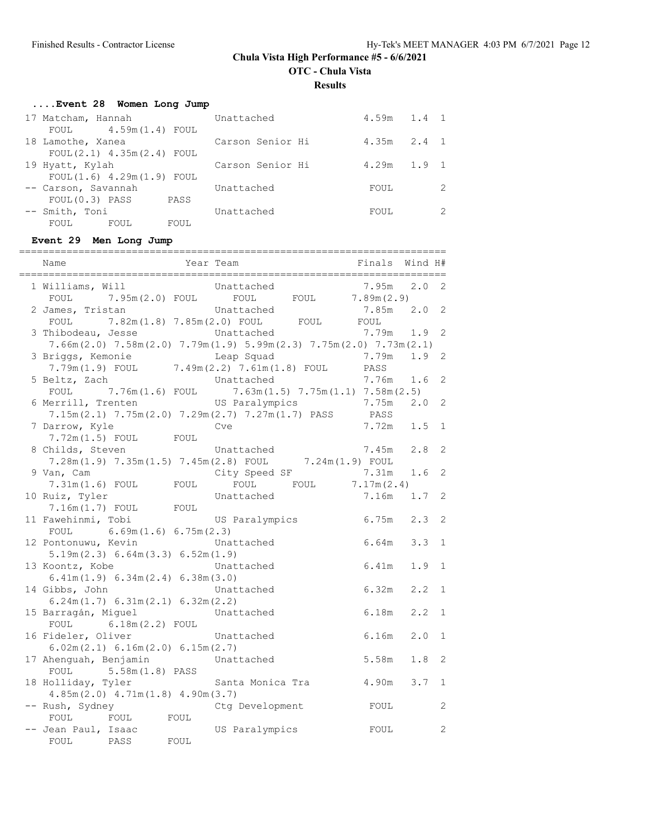**OTC - Chula Vista**

**Results**

# **....Event 28 Women Long Jump**

| 17 Matcham, Hannah             | Unattached       | $4.59m$ $1.4$ 1 |               |
|--------------------------------|------------------|-----------------|---------------|
| FOUL $4.59m(1.4)$ FOUL         |                  |                 |               |
| 18 Lamothe, Xanea              | Carson Senior Hi | $4.35m$ $2.4$ 1 |               |
| $FOUL(2.1)$ 4.35m $(2.4)$ FOUL |                  |                 |               |
| 19 Hyatt, Kylah                | Carson Senior Hi | $4.29m$ $1.9$ 1 |               |
| FOUL(1.6) 4.29m(1.9) FOUL      |                  |                 |               |
| -- Carson, Savannah            | Unattached       | FOUL            | $\mathcal{L}$ |
| $FOUL(0.3)$ PASS<br>PASS       |                  |                 |               |
| -- Smith, Toni                 | Unattached       | FOUL            | $\mathcal{L}$ |
| FOUL<br>FOUL<br>FOUL           |                  |                 |               |

#### **Event 29 Men Long Jump**

| Name                                                             | Year Team |                                                                                                                                                        | Finals        | Wind H# |              |
|------------------------------------------------------------------|-----------|--------------------------------------------------------------------------------------------------------------------------------------------------------|---------------|---------|--------------|
| 1 Williams, Will                                                 |           | Unattached<br>FOUL 7.95m(2.0) FOUL FOUL FOUL 7.89m(2.9)                                                                                                | 7.95m         | 2.0     | 2            |
| 2 James, Tristan                                                 |           | Unattached                                                                                                                                             | 7.85m         | 2.0     | 2            |
| 3 Thibodeau, Jesse Chattached                                    |           | ${\tt FOUL} \hspace{1cm} 7.82\text{m}\,(1.8) \hspace{1cm} 7.85\text{m}\,(2.0) \hspace{1cm} {\tt FOUL} \hspace{1cm} {\tt FOUL} \hspace{1cm} {\tt FOUL}$ | 7.79m         | 1.9     | 2            |
| 3 Briggs, Kemonie                                                |           | $7.66m(2.0)$ $7.58m(2.0)$ $7.79m(1.9)$ $5.99m(2.3)$ $7.75m(2.0)$ $7.73m(2.1)$<br>Leap Squad                                                            | 7.79m         | 1.9     | 2            |
| 5 Beltz, Zach                                                    |           | 7.79m(1.9) FOUL 7.49m(2.2) 7.61m(1.8) FOUL PASS<br>Unattached                                                                                          | 7.76m         | 1.6     | 2            |
|                                                                  |           | FOUL 7.76m $(1.6)$ FOUL 7.63m $(1.5)$ 7.75m $(1.1)$ 7.58m $(2.5)$                                                                                      |               |         |              |
| 6 Merrill, Trenten                                               |           | US Paralympics<br>$7.15m(2.1)$ $7.75m(2.0)$ $7.29m(2.7)$ $7.27m(1.7)$ PASS                                                                             | 7.75m<br>PASS | 2.0     | 2            |
| 7 Darrow, Kyle<br>7.72m (1.5) FOUL FOUL                          |           | Cve                                                                                                                                                    | 7.72m         | 1.5     | $\mathbf 1$  |
| 8 Childs, Steven                                                 |           | Unattached                                                                                                                                             | 7.45m         | 2.8     | 2            |
| 9 Van, Cam                                                       |           | $7.28m(1.9)$ $7.35m(1.5)$ $7.45m(2.8)$ FOUL $7.24m(1.9)$ FOUL<br>City Speed SF                                                                         | 7.31m         | 1.6     | 2            |
| $7.31m(1.6)$ FOUL FOUL<br>10 Ruiz, Tyler                         |           | FOUL $7.17m(2.4)$<br>FOUL<br>Unattached                                                                                                                | 7.16m         | 1.7     | 2            |
| $7.16m(1.7)$ FOUL FOUL                                           |           |                                                                                                                                                        |               |         |              |
| 11 Fawehinmi, Tobi<br>FOUL $6.69m(1.6) 6.75m(2.3)$               |           | US Paralympics                                                                                                                                         | 6.75m         | 2.3     | 2            |
| 12 Pontonuwu, Kevin<br>5.19m(2.3) 6.64m(3.3) 6.52m(1.9)          |           | Unattached                                                                                                                                             | 6.64m         | 3.3     | 1            |
| 13 Koontz, Kobe                                                  |           | Unattached                                                                                                                                             | 6.41m         | 1.9     | $\mathbf{1}$ |
| 6.41m(1.9) 6.34m(2.4) 6.38m(3.0)<br>14 Gibbs, John               |           | Unattached                                                                                                                                             | 6.32m         | 2.2     | $\mathbf 1$  |
| 6.24m(1.7) 6.31m(2.1) 6.32m(2.2)<br>15 Barragán, Miguel          |           | Unattached                                                                                                                                             | 6.18m         | 2, 2    | $\mathbf 1$  |
| FOUL $6.18m(2.2)$ FOUL                                           |           |                                                                                                                                                        |               |         |              |
| 16 Fideler, Oliver<br>6.02m(2.1) 6.16m(2.0) 6.15m(2.7)           |           | Unattached                                                                                                                                             | 6.16m         | 2.0     | 1            |
| 17 Ahenguah, Benjamin<br>FOUL 5.58m (1.8) PASS                   |           | Unattached                                                                                                                                             | 5.58m         | 1.8     | 2            |
| 18 Holliday, Tyler                                               |           | Santa Monica Tra $4.90m$                                                                                                                               |               | 3.7     | $\mathbf 1$  |
| $4.85m(2.0)$ $4.71m(1.8)$ $4.90m(3.7)$<br>-- Rush, Sydney        |           | Ctg Development                                                                                                                                        | FOUL          |         | 2            |
| FOUL<br>FOUL FOUL<br>-- Jean Paul, Isaac<br>PASS<br>FOUL<br>FOUL |           | US Paralympics                                                                                                                                         | FOUL          |         | 2            |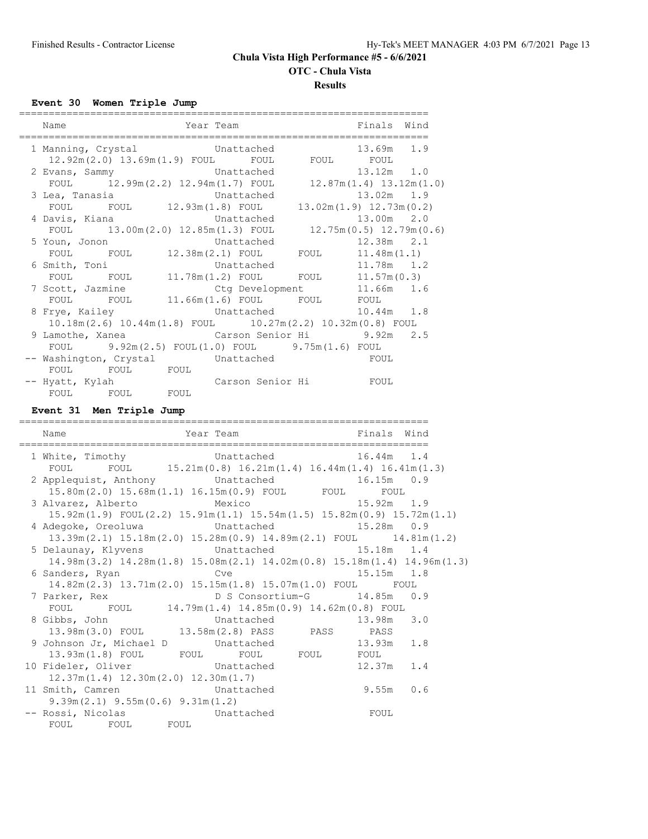**OTC - Chula Vista**

#### **Results**

**Event 30 Women Triple Jump**

| Name                                                                         | =========<br>------------------------------ |  |  |  | Year Team North States and Finals Wind<br>=========================== |  |  |
|------------------------------------------------------------------------------|---------------------------------------------|--|--|--|-----------------------------------------------------------------------|--|--|
| 1 Manning, Crystal Unattached 13.69m 1.9                                     |                                             |  |  |  | $12.92m(2.0)$ $13.69m(1.9)$ FOUL FOUL FOUL FOUL                       |  |  |
| 2 Evans, Sammy Chattached 13.12m 1.0                                         |                                             |  |  |  | FOUL 12.99m (2.2) 12.94m (1.7) FOUL 12.87m (1.4) 13.12m (1.0)         |  |  |
|                                                                              |                                             |  |  |  |                                                                       |  |  |
| 4 Davis, Kiana (13.00m 2.0)                                                  |                                             |  |  |  |                                                                       |  |  |
| 5 Youn, Jonon 5 Vinattached 12.38m 2.1                                       |                                             |  |  |  | FOUL 13.00m (2.0) 12.85m (1.3) FOUL 12.75m (0.5) 12.79m (0.6)         |  |  |
| 6 Smith, Toni 6 Unattached 11.78m 1.2                                        |                                             |  |  |  | FOUL FOUL $12.38m(2.1)$ FOUL FOUL $11.48m(1.1)$                       |  |  |
| 7 Scott, Jazmine Ctg Development 11.66m 1.6                                  |                                             |  |  |  | FOUL FOUL $11.78m(1.2)$ FOUL FOUL $11.57m(0.3)$                       |  |  |
|                                                                              |                                             |  |  |  | FOUL FOUL 11.66m(1.6) FOUL FOUL FOUL                                  |  |  |
| 8 Frye, Kailey Chattached 10.44m 1.8                                         |                                             |  |  |  | 10.18m (2.6) 10.44m (1.8) FOUL 10.27m (2.2) 10.32m (0.8) FOUL         |  |  |
| 9 Lamothe, Xanea (Carson Senior Hi 9.92m 2.5)                                |                                             |  |  |  | FOUL 9.92m(2.5) FOUL(1.0) FOUL 9.75m(1.6) FOUL                        |  |  |
| -- Washington, Crystal Contracted Construction of the FOUL<br>FOUL FOUL FOUL |                                             |  |  |  |                                                                       |  |  |
| -- Hyatt, Kylah Marson Senior Hi Koul                                        |                                             |  |  |  |                                                                       |  |  |
| FOUL FOUL FOUL<br>Event 31 Men Triple Jump                                   |                                             |  |  |  |                                                                       |  |  |

#### **Event 31 Men Triple Jump**

| Name<br>:===========================      | ===============<br>Year Team                                                                                                              | Finals Wind<br>_______________________________                                                                     |
|-------------------------------------------|-------------------------------------------------------------------------------------------------------------------------------------------|--------------------------------------------------------------------------------------------------------------------|
|                                           | 1 White, Timothy Chattached 16.44m 1.4<br>FOUL FOUL $15.21 \text{m} (0.8) 16.21 \text{m} (1.4) 16.44 \text{m} (1.4) 16.41 \text{m} (1.3)$ |                                                                                                                    |
|                                           | 2 Applequist, Anthony Unattached 16.15m 0.9                                                                                               |                                                                                                                    |
|                                           | $15.80m(2.0)$ $15.68m(1.1)$ $16.15m(0.9)$ FOUL FOUL FOUL                                                                                  |                                                                                                                    |
|                                           | 3 Alvarez, Alberto Mexico                                                                                                                 | $15.92m$ 1.9                                                                                                       |
|                                           | $15.92m(1.9)$ FOUL $(2.2)$ $15.91m(1.1)$ $15.54m(1.5)$ $15.82m(0.9)$ $15.72m(1.1)$                                                        |                                                                                                                    |
|                                           | 4 Adegoke, Oreoluwa bunattached 15.28m 0.9                                                                                                |                                                                                                                    |
|                                           |                                                                                                                                           | $13.39\text{m} (2.1)$ $15.18\text{m} (2.0)$ $15.28\text{m} (0.9)$ $14.89\text{m} (2.1)$ FOUL $14.81\text{m} (1.2)$ |
|                                           | 5 Delaunay, Klyvens Chattached 15.18m 1.4                                                                                                 |                                                                                                                    |
|                                           |                                                                                                                                           | $14.98m(3.2)$ $14.28m(1.8)$ $15.08m(2.1)$ $14.02m(0.8)$ $15.18m(1.4)$ $14.96m(1.3)$                                |
|                                           | 6 Sanders, Ryan Cve Cve 15.15m 1.8                                                                                                        |                                                                                                                    |
|                                           | 14.82m(2.3) 13.71m(2.0) 15.15m(1.8) 15.07m(1.0) FOUL FOUL                                                                                 |                                                                                                                    |
|                                           | 7 Parker, Rex B D S Consortium-G 14.85m 0.9                                                                                               |                                                                                                                    |
|                                           | FOUL FOUL 14.79m(1.4) 14.85m(0.9) 14.62m(0.8) FOUL                                                                                        |                                                                                                                    |
|                                           | 8 Gibbs, John Chattached 13.98m 3.0                                                                                                       |                                                                                                                    |
|                                           | 13.98m(3.0) FOUL 13.58m(2.8) PASS PASS PASS                                                                                               |                                                                                                                    |
|                                           | 9 Johnson Jr, Michael D Unattached 13.93m 1.8                                                                                             |                                                                                                                    |
|                                           | 13.93m(1.8) FOUL FOUL FOUL FOUL FOUL FOUL                                                                                                 |                                                                                                                    |
|                                           | 10 Fideler, Oliver Chattached 12.37m 1.4                                                                                                  |                                                                                                                    |
| $12.37m(1.4)$ $12.30m(2.0)$ $12.30m(1.7)$ |                                                                                                                                           |                                                                                                                    |
| 11 Smith, Camren Unattached               |                                                                                                                                           | $9.55m$ 0.6                                                                                                        |
| $9.39m(2.1)$ $9.55m(0.6)$ $9.31m(1.2)$    |                                                                                                                                           |                                                                                                                    |
| -- Rossi, Nicolas Chattached              |                                                                                                                                           | FOUL                                                                                                               |
| FOUL FOUL FOUL                            |                                                                                                                                           |                                                                                                                    |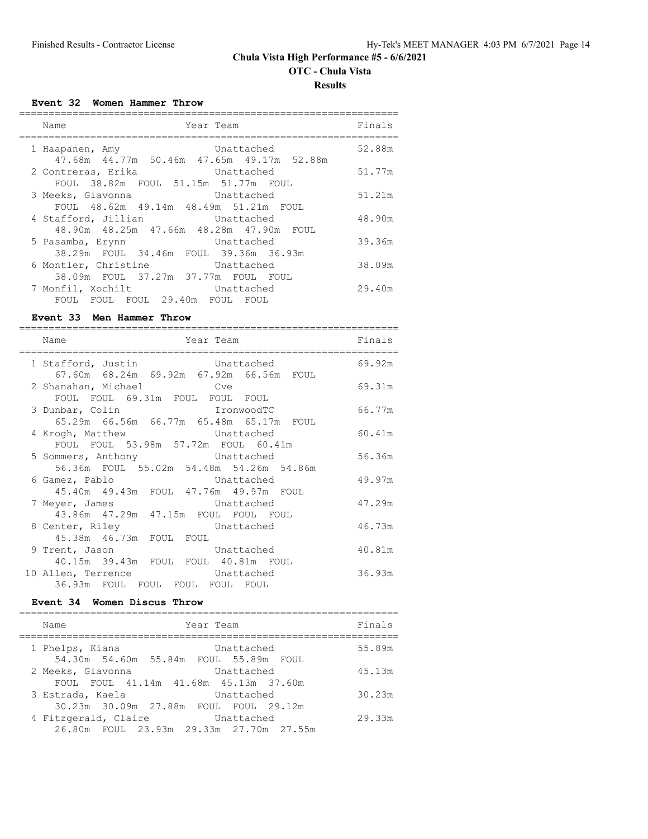# **OTC - Chula Vista**

**Results**

**Event 32 Women Hammer Throw**

| Name<br>Year Team                                                                                       |            | Finals |
|---------------------------------------------------------------------------------------------------------|------------|--------|
| Unattached<br>1 Haapanen, Amy<br>47.68m 44.77m 50.46m 47.65m 49.17m 52.88m                              |            | 52.88m |
| 2 Contreras, Erika buru Unattached<br>FOUL 38.82m FOUL 51.15m 51.77m FOUL                               |            | 51.77m |
| 3 Meeks, Giavonna<br>Unattached<br>FOUL 48.62m 49.14m 48.49m 51.21m FOUL                                |            | 51.21m |
| Unattached<br>4 Stafford, Jillian<br>48.90m  48.25m  47.66m  48.28m  47.90m  FOUL                       |            | 48.90m |
| 5 Pasamba, Erynn<br>38.29m FOUL 34.46m FOUL 39.36m 36.93m                                               | Unattached | 39.36m |
| 6 Montler, Christine <b>Unattached</b>                                                                  |            | 38.09m |
| 38.09m FOUL 37.27m 37.77m FOUL FOUL<br>7 Monfil, Xochilt<br>Unattached<br>FOUL FOUL 29.40m FOUL<br>FOUL | FOUL       | 29.40m |

#### **Event 33 Men Hammer Throw**

| Name<br>Year Team                                                           | Finals |
|-----------------------------------------------------------------------------|--------|
| 1 Stafford, Justin Chattached                                               | 69.92m |
| 67.60m  68.24m  69.92m  67.92m  66.56m  FOUL<br>2 Shanahan, Michael Cve     | 69.31m |
| FOUL FOUL 69.31m FOUL FOUL FOUL<br>3 Dunbar, Colin TronwoodTC               | 66.77m |
| 65.29m  66.56m  66.77m  65.48m  65.17m  FOUL<br>4 Krogh, Matthew Chattached | 60.41m |
| FOUL FOUL 53.98m 57.72m FOUL 60.41m                                         |        |
| 5 Sommers, Anthony Unattached<br>56.36m FOUL 55.02m 54.48m 54.26m 54.86m    | 56.36m |
| 6 Gamez, Pablo Chattached<br>45.40m  49.43m  FOUL  47.76m  49.97m  FOUL     | 49.97m |
| 7 Meyer, James<br>Unattached                                                | 47.29m |
| 43.86m 47.29m 47.15m FOUL FOUL FOUL<br>8 Center, Riley Contrached           | 46.73m |
| 45.38m  46.73m  FOUL  FOUL<br>9 Trent, Jason Unattached                     | 40.81m |
| 40.15m 39.43m FOUL FOUL 40.81m FOUL                                         |        |
| 10 Allen, Terrence Unattached<br>36.93m FOUL FOUL FOUL FOUL FOUL            | 36.93m |

## **Event 34 Women Discus Throw**

| Year Team<br>Name                                               |            | Finals |
|-----------------------------------------------------------------|------------|--------|
| 1 Phelps, Kiana<br>54.30m 54.60m 55.84m FOUL 55.89m FOUL        | Unattached | 55.89m |
| 2 Meeks, Giavonna<br>FOUL FOUL 41.14m 41.68m 45.13m 37.60m      | Unattached | 45.13m |
| 3 Estrada, Kaela<br>30.23m 30.09m 27.88m FOUL FOUL 29.12m       | Unattached | 30.23m |
| 4 Fitzgerald, Claire<br>26.80m FOUL 23.93m 29.33m 27.70m 27.55m | Unattached | 29.33m |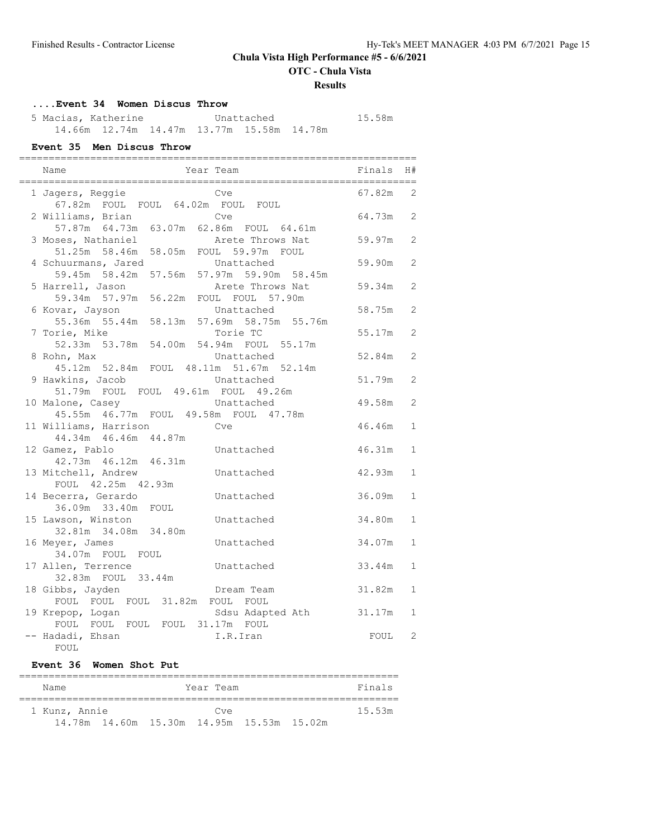**OTC - Chula Vista**

#### **Results**

## **....Event 34 Women Discus Throw**

 5 Macias, Katherine Unattached 15.58m 14.66m 12.74m 14.47m 13.77m 15.58m 14.78m

#### **Event 35 Men Discus Throw**

| Year Team<br>Name                                                               | Finals | H#             |
|---------------------------------------------------------------------------------|--------|----------------|
| 1 Jagers, Reggie<br>Cve<br>67.82m FOUL FOUL 64.02m FOUL FOUL                    | 67.82m | 2              |
| Cve<br>2 Williams, Brian<br>57.87m 64.73m 63.07m 62.86m FOUL 64.61m             | 64.73m | 2              |
| 3 Moses, Nathaniel<br>Arete Throws Nat<br>51.25m 58.46m 58.05m FOUL 59.97m FOUL | 59.97m | $\overline{2}$ |
| 4 Schuurmans, Jared<br>Unattached<br>59.45m 58.42m 57.56m 57.97m 59.90m 58.45m  | 59.90m | 2              |
| 5 Harrell, Jason<br>Arete Throws Nat<br>59.34m 57.97m 56.22m FOUL FOUL 57.90m   | 59.34m | $\mathfrak{D}$ |
| Unattached<br>6 Kovar, Jayson<br>55.36m 55.44m 58.13m 57.69m 58.75m 55.76m      | 58.75m | 2              |
| 7 Torie, Mike<br>Torie TC<br>52.33m 53.78m 54.00m 54.94m FOUL 55.17m            | 55.17m | $\mathfrak{D}$ |
| 8 Rohn, Max<br>Unattached<br>45.12m 52.84m FOUL 48.11m 51.67m 52.14m            | 52.84m | $\mathfrak{D}$ |
| 9 Hawkins, Jacob<br>Unattached<br>51.79m FOUL FOUL 49.61m FOUL 49.26m           | 51.79m | $\mathfrak{D}$ |
| 10 Malone, Casey<br>Unattached<br>45.55m  46.77m  FOUL  49.58m  FOUL  47.78m    | 49.58m | $\mathfrak{D}$ |
| 11 Williams, Harrison<br>Cve<br>44.34m 46.46m 44.87m                            | 46.46m | $\mathbf{1}$   |
| 12 Gamez, Pablo<br>Unattached<br>42.73m  46.12m  46.31m                         | 46.31m | $\mathbf{1}$   |
| 13 Mitchell, Andrew<br>Unattached<br>FOUL 42.25m 42.93m                         | 42.93m | $\mathbf{1}$   |
| 14 Becerra, Gerardo<br>Unattached<br>36.09m 33.40m FOUL                         | 36.09m | $\mathbf{1}$   |
| 15 Lawson, Winston<br>Unattached<br>32.81m 34.08m 34.80m                        | 34.80m | $\mathbf{1}$   |
| 16 Meyer, James<br>Unattached<br>34.07m FOUL FOUL                               | 34.07m | $\mathbf{1}$   |
| 17 Allen, Terrence<br>Unattached<br>32.83m FOUL 33.44m                          | 33.44m | $\mathbf{1}$   |
| 18 Gibbs, Jayden<br>Dream Team<br>FOUL FOUL FOUL 31.82m FOUL FOUL               | 31.82m | $\mathbf{1}$   |
| Sdsu Adapted Ath<br>19 Krepop, Logan<br>FOUL FOUL FOUL FOUL 31.17m<br>FOUL      | 31.17m | 1              |
| -- Hadadi, Ehsan<br>I.R.Iran<br>FOUL                                            | FOUL   | 2              |

## **Event 36 Women Shot Put**

|  | Name          |                                                |  | Year Team |  |  |  | Finals |  |
|--|---------------|------------------------------------------------|--|-----------|--|--|--|--------|--|
|  | 1 Kunz, Annie |                                                |  | Cye       |  |  |  | 15.53m |  |
|  |               | 14.78m  14.60m  15.30m  14.95m  15.53m  15.02m |  |           |  |  |  |        |  |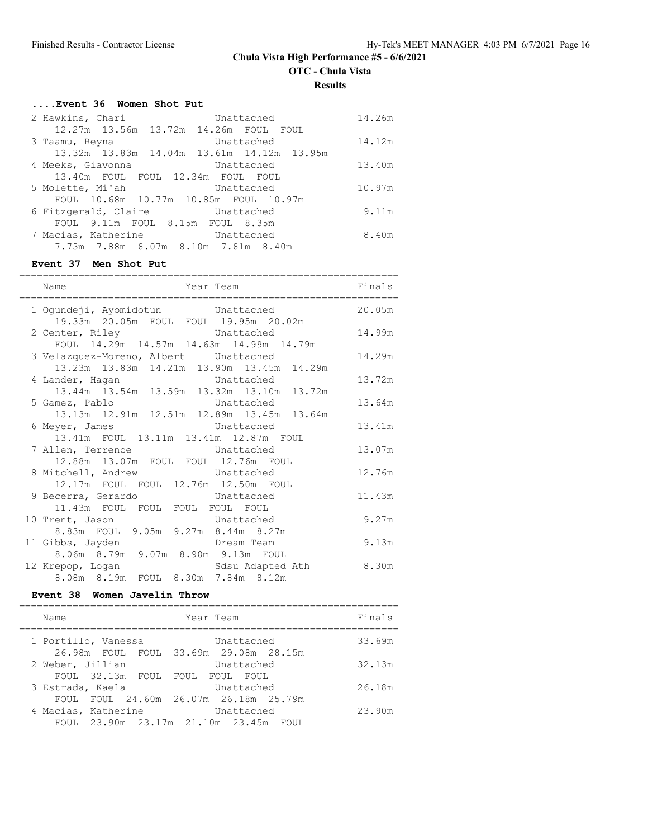**OTC - Chula Vista**

**Results**

## **....Event 36 Women Shot Put**

| 2 Hawkins, Chari  | Unattached                                          | 14.26m |
|-------------------|-----------------------------------------------------|--------|
|                   | 12.27m 13.56m 13.72m 14.26m FOUL FOUL               |        |
| 3 Taamu, Reyna    | Unattached                                          | 14.12m |
|                   | 13.32m 13.83m 14.04m 13.61m 14.12m 13.95m           |        |
| 4 Meeks, Giavonna | Unattached                                          | 13.40m |
|                   | 13.40m FOUL FOUL 12.34m FOUL FOUL                   |        |
| 5 Molette, Mi'ah  | Unattached                                          | 10.97m |
|                   | FOUL 10.68m 10.77m 10.85m FOUL 10.97m               |        |
|                   | 6 Fitzgerald, Claire <b>Inattached</b>              | 9.11m  |
|                   | FOUL 9.11m FOUL 8.15m FOUL 8.35m                    |        |
|                   | 7 Macias, Katherine <b>Machanachists</b> Unattached | 8.40m  |
|                   | 7.73m 7.88m 8.07m 8.10m 7.81m 8.40m                 |        |

# **Event 37 Men Shot Put**

| Name                                                                                                                            | Year Team<br>_____________________ | Finals |
|---------------------------------------------------------------------------------------------------------------------------------|------------------------------------|--------|
| 1 Ogundeji, Ayomidotun bunattached<br>19.33m  20.05m  FOUL  FOUL  19.95m  20.02m                                                |                                    | 20.05m |
| 2 Center, Riley Chattached 14.99m<br>FOUL 14.29m 14.57m 14.63m 14.99m 14.79m                                                    |                                    |        |
| 3 Velazquez-Moreno, Albert Unattached<br>13.23m  13.83m  14.21m  13.90m  13.45m  14.29m                                         |                                    | 14.29m |
| 4 Lander, Hagan Construction Unattached<br>13.44m 13.54m 13.59m 13.32m 13.10m 13.72m                                            |                                    | 13.72m |
| 5 Gamez, Pablo Chattached<br>13.13m 12.91m 12.51m 12.89m 13.45m 13.64m                                                          |                                    | 13.64m |
| 6 Meyer, James                                                                                                                  | Unattached                         | 13.41m |
| 13.41m  FOUL  13.11m  13.41m  12.87m  FOUL<br>7 Allen, Terrence Unattached                                                      |                                    | 13.07m |
| 12.88m  13.07m  FOUL  FOUL  12.76m  FOUL<br>8 Mitchell, Andrew Unattached                                                       |                                    | 12.76m |
| 12.17m FOUL FOUL 12.76m 12.50m FOUL<br>9 Becerra, Gerardo bunattached                                                           |                                    | 11.43m |
| 11.43m FOUL FOUL FOUL FOUL FOUL<br>10 Trent, Jason                                                                              | Unattached                         | 9.27m  |
| 8.83m FOUL 9.05m 9.27m 8.44m 8.27m<br>11 Gibbs, Jayden                                                                          | Dream Team                         | 9.13m  |
| 8.06m 8.79m 9.07m 8.90m 9.13m FOUL<br>12 Krepop, Loqan                   Sdsu Adapted Ath<br>8.08m 8.19m FOUL 8.30m 7.84m 8.12m |                                    | 8.30m  |
|                                                                                                                                 |                                    |        |

## **Event 38 Women Javelin Throw**

| Name                |                  | Year Team |                                       |  | Finals |
|---------------------|------------------|-----------|---------------------------------------|--|--------|
| 1 Portillo, Vanessa |                  |           | Unattached                            |  | 33.69m |
|                     |                  |           | 26.98m FOUL FOUL 33.69m 29.08m 28.15m |  |        |
| 2 Weber, Jillian    |                  |           | Unattached                            |  | 32.13m |
|                     | FOUL 32.13m FOUL |           | FOUL FOUL FOUL                        |  |        |
| 3 Estrada, Kaela    |                  |           | Unattached                            |  | 26.18m |
|                     |                  |           | FOUL FOUL 24.60m 26.07m 26.18m 25.79m |  |        |
| 4 Macias, Katherine |                  |           | Unattached                            |  | 23.90m |
|                     |                  |           | FOUL 23.90m 23.17m 21.10m 23.45m FOUL |  |        |
|                     |                  |           |                                       |  |        |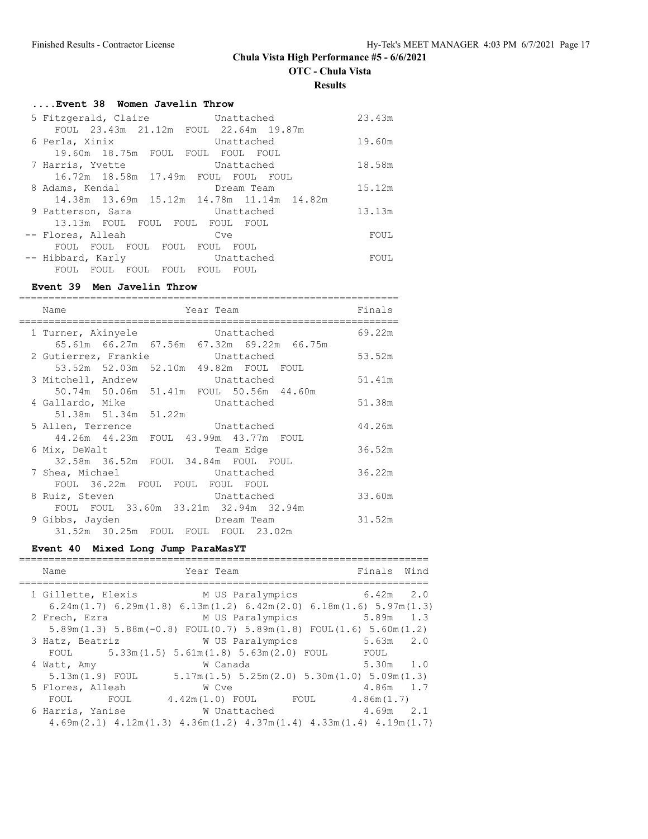**OTC - Chula Vista**

**Results**

# **....Event 38 Women Javelin Throw**

| 5 Fitzgerald, Claire bunattached                       | 23.43m |
|--------------------------------------------------------|--------|
| FOUL 23.43m 21.12m FOUL 22.64m 19.87m                  |        |
| 6 Perla, Xinix<br>Unattached                           | 19.60m |
| 19.60m 18.75m FOUL FOUL FOUL FOUL                      |        |
| 7 Harris, Yvette<br>Unattached                         | 18.58m |
| 16.72m 18.58m 17.49m FOUL FOUL FOUL                    |        |
| 8 Adams, Kendal<br>Dream Team                          | 15.12m |
| 14.38m 13.69m 15.12m 14.78m 11.14m 14.82m              |        |
| 9 Patterson, Sara Chattached                           | 13.13m |
| 13.13m FOUL FOUL FOUL FOUL FOUL                        |        |
| -- Flores, Alleah<br>Cve                               | FOUL   |
| FOUL FOUL FOUL FOUL FOUL FOUL                          |        |
| -- Hibbard, Karly<br>Unattached                        | FOUL   |
| FOUL<br><b>FOUL</b><br>FOUL<br>- FOUL<br>FOUL.<br>FOUL |        |

## **Event 39 Men Javelin Throw**

| Name<br>Year Team                                                           | Finals |
|-----------------------------------------------------------------------------|--------|
| Unattached<br>1 Turner, Akinyele                                            | 69.22m |
| 65.61m 66.27m 67.56m 67.32m 69.22m 66.75m<br>2 Gutierrez, Frankie battached | 53.52m |
| 53.52m 52.03m 52.10m 49.82m FOUL FOUL                                       |        |
| 3 Mitchell, Andrew Unattached                                               | 51.41m |
| 50.74m 50.06m 51.41m FOUL 50.56m 44.60m                                     |        |
| 4 Gallardo, Mike<br>Unattached<br>51.38m 51.34m 51.22m                      | 51.38m |
| 5 Allen, Terrence Unattached                                                | 44.26m |
| 44.26m  44.23m  FOUL  43.99m  43.77m  FOUL                                  |        |
| 6 Mix, DeWalt<br>Team Edge                                                  | 36.52m |
| 32.58m 36.52m FOUL 34.84m FOUL FOUL                                         |        |
| 7 Shea, Michael Contract Unattached<br>FOUL 36.22m FOUL FOUL FOUL FOUL      | 36.22m |
| Unattached<br>8 Ruiz, Steven                                                | 33.60m |
| FOUL FOUL 33.60m 33.21m 32.94m 32.94m                                       |        |
| 9 Gibbs, Jayden<br>Dream Team                                               | 31.52m |
| 31.52m 30.25m FOUL FOUL FOUL 23.02m                                         |        |

## **Event 40 Mixed Long Jump ParaMasYT**

| Name                | Year Team                                                                                             |      | Finals Wind   |
|---------------------|-------------------------------------------------------------------------------------------------------|------|---------------|
|                     |                                                                                                       |      |               |
|                     | 1 Gillette, Elexis M US Paralympics 6.42m 2.0                                                         |      |               |
|                     | $6.24$ m(1.7) $6.29$ m(1.8) $6.13$ m(1.2) $6.42$ m(2.0) $6.18$ m(1.6) $5.97$ m(1.3)                   |      |               |
| 2 Frech, Ezra       | M US Paralympics                                                                                      |      | 5.89m 1.3     |
|                     | $5.89$ m $(1.3)$ $5.88$ m $(-0.8)$ FOUL $(0.7)$ $5.89$ m $(1.8)$ FOUL $(1.6)$ $5.60$ m $(1.2)$        |      |               |
| 3 Hatz, Beatriz     | W US Paralympics                                                                                      |      | $5.63m$ $2.0$ |
| FOUL                | $5.33m(1.5)$ $5.61m(1.8)$ $5.63m(2.0)$ FOUL                                                           | FOUL |               |
| 4 Watt, Amy         | W Canada                                                                                              |      | $5.30m$ 1.0   |
| 5.13m (1.9) FOUL    | $5.17m(1.5)$ $5.25m(2.0)$ $5.30m(1.0)$ $5.09m(1.3)$                                                   |      |               |
| 5 Flores, Alleah    | W Cve                                                                                                 |      | $4.86m$ 1.7   |
| <b>EOUL</b><br>FOUL | $4.42m(1.0)$ FOUL FOUL $4.86m(1.7)$                                                                   |      |               |
| 6 Harris, Yanise    | W Unattached                                                                                          |      | $4.69m$ 2.1   |
|                     | $4.69$ m $(2.1)$ $4.12$ m $(1.3)$ $4.36$ m $(1.2)$ $4.37$ m $(1.4)$ $4.33$ m $(1.4)$ $4.19$ m $(1.7)$ |      |               |